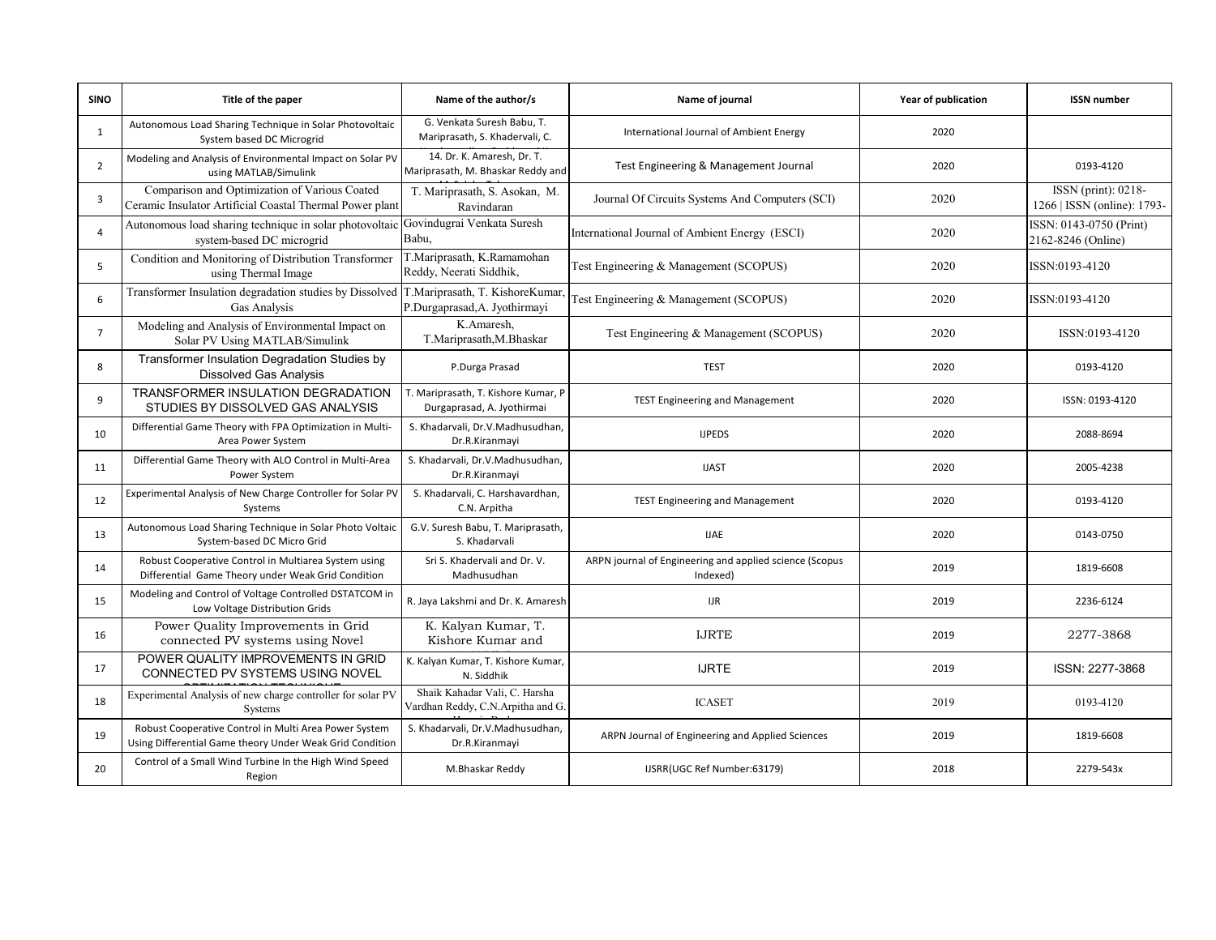| <b>SINO</b>    | Title of the paper                                                                                                | Name of the author/s                                               | Name of journal                                                     | Year of publication | <b>ISSN number</b>                                 |
|----------------|-------------------------------------------------------------------------------------------------------------------|--------------------------------------------------------------------|---------------------------------------------------------------------|---------------------|----------------------------------------------------|
| $\mathbf{1}$   | Autonomous Load Sharing Technique in Solar Photovoltaic<br>System based DC Microgrid                              | G. Venkata Suresh Babu, T.<br>Mariprasath, S. Khadervali, C.       | International Journal of Ambient Energy                             | 2020                |                                                    |
| $\overline{2}$ | Modeling and Analysis of Environmental Impact on Solar PV<br>using MATLAB/Simulink                                | 14. Dr. K. Amaresh, Dr. T.<br>Mariprasath, M. Bhaskar Reddy and    | Test Engineering & Management Journal                               | 2020                | 0193-4120                                          |
| $\overline{3}$ | Comparison and Optimization of Various Coated<br>Ceramic Insulator Artificial Coastal Thermal Power plant         | T. Mariprasath, S. Asokan, M.<br>Ravindaran                        | Journal Of Circuits Systems And Computers (SCI)                     | 2020                | ISSN (print): 0218-<br>1266   ISSN (online): 1793- |
| $\overline{4}$ | Autonomous load sharing technique in solar photovoltaic<br>system-based DC microgrid                              | Govindugrai Venkata Suresh<br>Babu,                                | International Journal of Ambient Energy (ESCI)                      | 2020                | ISSN: 0143-0750 (Print)<br>2162-8246 (Online)      |
| 5              | Condition and Monitoring of Distribution Transformer<br>using Thermal Image                                       | T.Mariprasath, K.Ramamohan<br>Reddy, Neerati Siddhik,              | Test Engineering & Management (SCOPUS)                              | 2020                | ISSN:0193-4120                                     |
| 6              | Transformer Insulation degradation studies by Dissolved<br>Gas Analysis                                           | T.Mariprasath, T. KishoreKumar,<br>P.Durgaprasad, A. Jyothirmayi   | Test Engineering & Management (SCOPUS)                              | 2020                | ISSN:0193-4120                                     |
| $\overline{7}$ | Modeling and Analysis of Environmental Impact on<br>Solar PV Using MATLAB/Simulink                                | K.Amaresh,<br>T.Mariprasath, M.Bhaskar                             | Test Engineering & Management (SCOPUS)                              | 2020                | ISSN:0193-4120                                     |
| 8              | Transformer Insulation Degradation Studies by<br><b>Dissolved Gas Analysis</b>                                    | P.Durga Prasad                                                     | <b>TEST</b>                                                         | 2020                | 0193-4120                                          |
| 9              | TRANSFORMER INSULATION DEGRADATION<br>STUDIES BY DISSOLVED GAS ANALYSIS                                           | T. Mariprasath, T. Kishore Kumar, P<br>Durgaprasad, A. Jyothirmai  | <b>TEST Engineering and Management</b>                              | 2020                | ISSN: 0193-4120                                    |
| 10             | Differential Game Theory with FPA Optimization in Multi-<br>Area Power System                                     | S. Khadarvali, Dr.V.Madhusudhan,<br>Dr.R.Kiranmayi                 | <b>IJPEDS</b>                                                       | 2020                | 2088-8694                                          |
| 11             | Differential Game Theory with ALO Control in Multi-Area<br>Power System                                           | S. Khadarvali, Dr.V.Madhusudhan,<br>Dr.R.Kiranmayi                 | <b>IJAST</b>                                                        | 2020                | 2005-4238                                          |
| 12             | Experimental Analysis of New Charge Controller for Solar PV<br>Systems                                            | S. Khadarvali, C. Harshavardhan,<br>C.N. Arpitha                   | <b>TEST Engineering and Management</b>                              | 2020                | 0193-4120                                          |
| 13             | Autonomous Load Sharing Technique in Solar Photo Voltaic<br>System-based DC Micro Grid                            | G.V. Suresh Babu, T. Mariprasath,<br>S. Khadarvali                 | <b>IJAE</b>                                                         | 2020                | 0143-0750                                          |
| 14             | Robust Cooperative Control in Multiarea System using<br>Differential Game Theory under Weak Grid Condition        | Sri S. Khadervali and Dr. V.<br>Madhusudhan                        | ARPN journal of Engineering and applied science (Scopus<br>Indexed) | 2019                | 1819-6608                                          |
| 15             | Modeling and Control of Voltage Controlled DSTATCOM in<br>Low Voltage Distribution Grids                          | R. Jaya Lakshmi and Dr. K. Amaresh                                 | IJR                                                                 | 2019                | 2236-6124                                          |
| 16             | Power Quality Improvements in Grid<br>connected PV systems using Novel                                            | K. Kalyan Kumar, T.<br>Kishore Kumar and                           | <b>IJRTE</b>                                                        | 2019                | 2277-3868                                          |
| 17             | POWER QUALITY IMPROVEMENTS IN GRID<br>CONNECTED PV SYSTEMS USING NOVEL                                            | K. Kalyan Kumar, T. Kishore Kumar,<br>N. Siddhik                   | <b>IJRTE</b>                                                        | 2019                | ISSN: 2277-3868                                    |
| 18             | Experimental Analysis of new charge controller for solar PV<br>Systems                                            | Shaik Kahadar Vali, C. Harsha<br>Vardhan Reddy, C.N.Arpitha and G. | <b>ICASET</b>                                                       | 2019                | 0193-4120                                          |
| 19             | Robust Cooperative Control in Multi Area Power System<br>Using Differential Game theory Under Weak Grid Condition | S. Khadarvali, Dr.V.Madhusudhan,<br>Dr.R.Kiranmayi                 | ARPN Journal of Engineering and Applied Sciences                    | 2019                | 1819-6608                                          |
| 20             | Control of a Small Wind Turbine In the High Wind Speed<br>Region                                                  | M.Bhaskar Reddy                                                    | IJSRR(UGC Ref Number:63179)                                         | 2018                | 2279-543x                                          |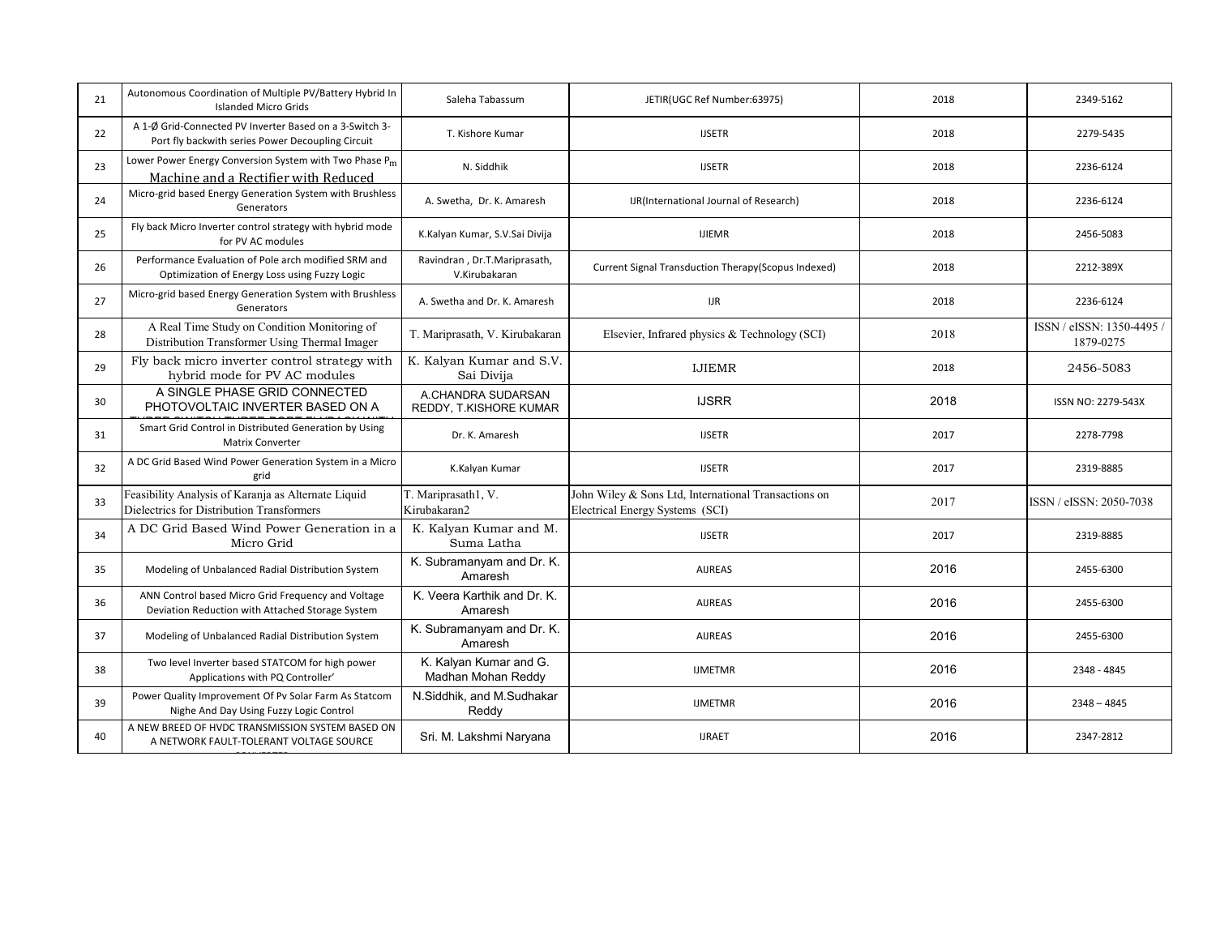| 21 | Autonomous Coordination of Multiple PV/Battery Hybrid In<br><b>Islanded Micro Grids</b>                      | Saleha Tabassum                               | JETIR(UGC Ref Number:63975)                                                             | 2018 | 2349-5162                              |
|----|--------------------------------------------------------------------------------------------------------------|-----------------------------------------------|-----------------------------------------------------------------------------------------|------|----------------------------------------|
| 22 | A 1-Ø Grid-Connected PV Inverter Based on a 3-Switch 3-<br>Port fly backwith series Power Decoupling Circuit | T. Kishore Kumar                              | <b>IJSETR</b>                                                                           | 2018 | 2279-5435                              |
| 23 | Lower Power Energy Conversion System with Two Phase P <sub>m</sub><br>Machine and a Rectifier with Reduced   | N. Siddhik                                    | <b>IJSETR</b>                                                                           | 2018 | 2236-6124                              |
| 24 | Micro-grid based Energy Generation System with Brushless<br>Generators                                       | A. Swetha, Dr. K. Amaresh                     | IJR(International Journal of Research)                                                  | 2018 | 2236-6124                              |
| 25 | Fly back Micro Inverter control strategy with hybrid mode<br>for PV AC modules                               | K.Kalyan Kumar, S.V.Sai Divija                | <b>IJIEMR</b>                                                                           | 2018 | 2456-5083                              |
| 26 | Performance Evaluation of Pole arch modified SRM and<br>Optimization of Energy Loss using Fuzzy Logic        | Ravindran, Dr.T.Mariprasath,<br>V.Kirubakaran | Current Signal Transduction Therapy(Scopus Indexed)                                     | 2018 | 2212-389X                              |
| 27 | Micro-grid based Energy Generation System with Brushless<br>Generators                                       | A. Swetha and Dr. K. Amaresh                  | <b>IJR</b>                                                                              | 2018 | 2236-6124                              |
| 28 | A Real Time Study on Condition Monitoring of<br>Distribution Transformer Using Thermal Imager                | T. Mariprasath, V. Kirubakaran                | Elsevier, Infrared physics & Technology (SCI)                                           | 2018 | ISSN / eISSN: 1350-4495 /<br>1879-0275 |
| 29 | Fly back micro inverter control strategy with<br>hybrid mode for PV AC modules                               | K. Kalyan Kumar and S.V.<br>Sai Divija        | <b>IJIEMR</b>                                                                           | 2018 | 2456-5083                              |
| 30 | A SINGLE PHASE GRID CONNECTED<br>PHOTOVOLTAIC INVERTER BASED ON A                                            | A.CHANDRA SUDARSAN<br>REDDY, T.KISHORE KUMAR  | <b>IJSRR</b>                                                                            | 2018 | ISSN NO: 2279-543X                     |
| 31 | Smart Grid Control in Distributed Generation by Using<br><b>Matrix Converter</b>                             | Dr. K. Amaresh                                | <b>IJSETR</b>                                                                           | 2017 | 2278-7798                              |
| 32 | A DC Grid Based Wind Power Generation System in a Micro<br>grid                                              | K.Kalyan Kumar                                | <b>IJSETR</b>                                                                           | 2017 | 2319-8885                              |
| 33 | Feasibility Analysis of Karanja as Alternate Liquid<br>Dielectrics for Distribution Transformers             | T. Mariprasath1, V.<br>Kirubakaran2           | John Wiley & Sons Ltd, International Transactions on<br>Electrical Energy Systems (SCI) | 2017 | ISSN / eISSN: 2050-7038                |
| 34 | A DC Grid Based Wind Power Generation in a<br>Micro Grid                                                     | K. Kalyan Kumar and M.<br>Suma Latha          | <b>IJSETR</b>                                                                           | 2017 | 2319-8885                              |
| 35 | Modeling of Unbalanced Radial Distribution System                                                            | K. Subramanyam and Dr. K.<br>Amaresh          | <b>AIJREAS</b>                                                                          | 2016 | 2455-6300                              |
| 36 | ANN Control based Micro Grid Frequency and Voltage<br>Deviation Reduction with Attached Storage System       | K. Veera Karthik and Dr. K.<br>Amaresh        | <b>AIJREAS</b>                                                                          | 2016 | 2455-6300                              |
| 37 | Modeling of Unbalanced Radial Distribution System                                                            | K. Subramanyam and Dr. K.<br>Amaresh          | <b>AIJREAS</b>                                                                          | 2016 | 2455-6300                              |
| 38 | Two level Inverter based STATCOM for high power<br>Applications with PQ Controller'                          | K. Kalyan Kumar and G.<br>Madhan Mohan Reddy  | <b>IJMETMR</b>                                                                          | 2016 | 2348 - 4845                            |
| 39 | Power Quality Improvement Of Pv Solar Farm As Statcom<br>Nighe And Day Using Fuzzy Logic Control             | N.Siddhik, and M.Sudhakar<br>Reddy            | <b>IJMETMR</b>                                                                          | 2016 | $2348 - 4845$                          |
| 40 | A NEW BREED OF HVDC TRANSMISSION SYSTEM BASED ON<br>A NETWORK FAULT-TOLERANT VOLTAGE SOURCE                  | Sri. M. Lakshmi Naryana                       | <b>IJRAET</b>                                                                           | 2016 | 2347-2812                              |